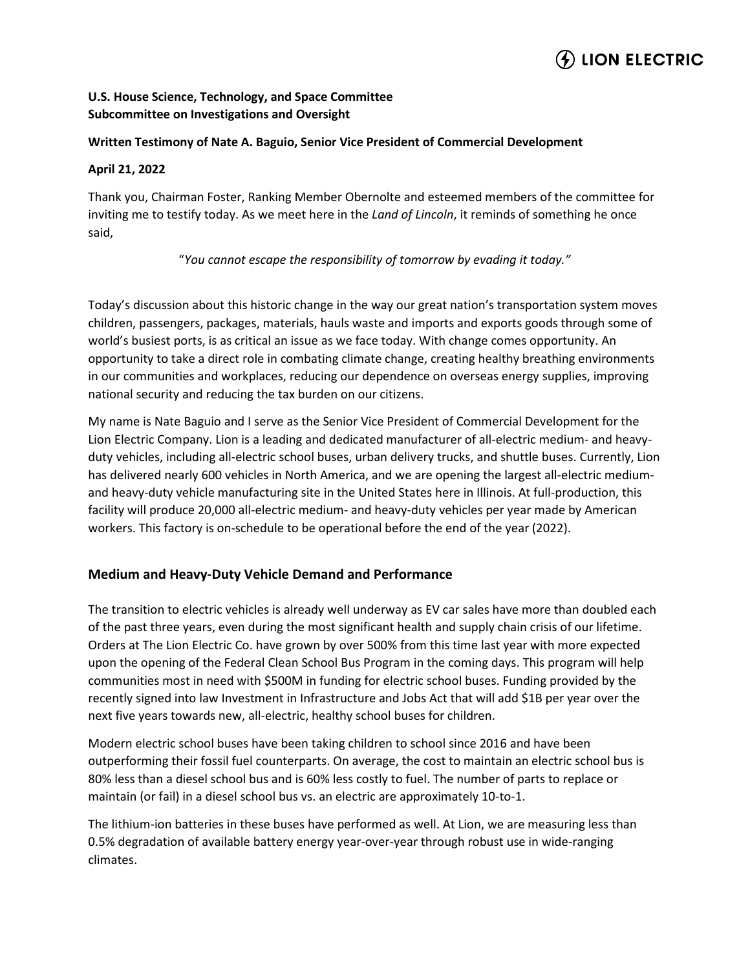# $\left($ ) LION ELECTRIC

## **U.S. House Science, Technology, and Space Committee Subcommittee on Investigations and Oversight**

#### **Written Testimony of Nate A. Baguio, Senior Vice President of Commercial Development**

#### **April 21, 2022**

Thank you, Chairman Foster, Ranking Member Obernolte and esteemed members of the committee for inviting me to testify today. As we meet here in the *Land of Lincoln*, it reminds of something he once said,

"*You cannot escape the responsibility of tomorrow by evading it today."*

Today's discussion about this historic change in the way our great nation's transportation system moves children, passengers, packages, materials, hauls waste and imports and exports goods through some of world's busiest ports, is as critical an issue as we face today. With change comes opportunity. An opportunity to take a direct role in combating climate change, creating healthy breathing environments in our communities and workplaces, reducing our dependence on overseas energy supplies, improving national security and reducing the tax burden on our citizens.

My name is Nate Baguio and I serve as the Senior Vice President of Commercial Development for the Lion Electric Company. Lion is a leading and dedicated manufacturer of all-electric medium- and heavyduty vehicles, including all-electric school buses, urban delivery trucks, and shuttle buses. Currently, Lion has delivered nearly 600 vehicles in North America, and we are opening the largest all-electric mediumand heavy-duty vehicle manufacturing site in the United States here in Illinois. At full-production, this facility will produce 20,000 all-electric medium- and heavy-duty vehicles per year made by American workers. This factory is on-schedule to be operational before the end of the year (2022).

#### **Medium and Heavy-Duty Vehicle Demand and Performance**

The transition to electric vehicles is already well underway as EV car sales have more than doubled each of the past three years, even during the most significant health and supply chain crisis of our lifetime. Orders at The Lion Electric Co. have grown by over 500% from this time last year with more expected upon the opening of the Federal Clean School Bus Program in the coming days. This program will help communities most in need with \$500M in funding for electric school buses. Funding provided by the recently signed into law Investment in Infrastructure and Jobs Act that will add \$1B per year over the next five years towards new, all-electric, healthy school buses for children.

Modern electric school buses have been taking children to school since 2016 and have been outperforming their fossil fuel counterparts. On average, the cost to maintain an electric school bus is 80% less than a diesel school bus and is 60% less costly to fuel. The number of parts to replace or maintain (or fail) in a diesel school bus vs. an electric are approximately 10-to-1.

The lithium-ion batteries in these buses have performed as well. At Lion, we are measuring less than 0.5% degradation of available battery energy year-over-year through robust use in wide-ranging climates.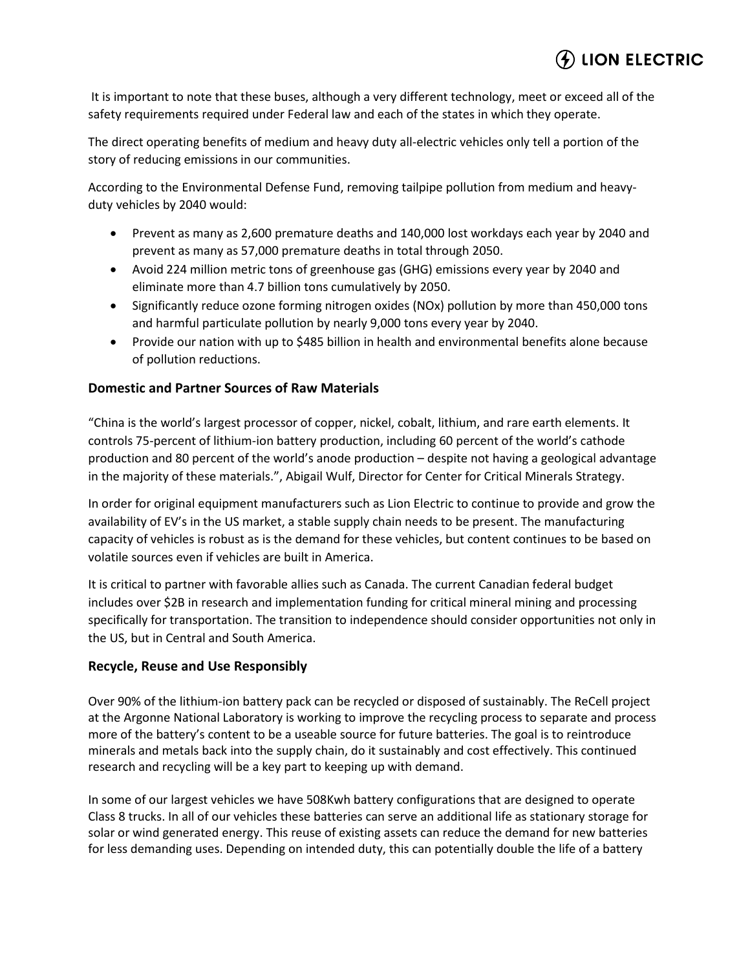## $\left($ ) LION ELECTRIC

It is important to note that these buses, although a very different technology, meet or exceed all of the safety requirements required under Federal law and each of the states in which they operate.

The direct operating benefits of medium and heavy duty all-electric vehicles only tell a portion of the story of reducing emissions in our communities.

According to the Environmental Defense Fund, removing tailpipe pollution from medium and heavyduty vehicles by 2040 would:

- Prevent as many as 2,600 premature deaths and 140,000 lost workdays each year by 2040 and prevent as many as 57,000 premature deaths in total through 2050.
- Avoid 224 million metric tons of greenhouse gas (GHG) emissions every year by 2040 and eliminate more than 4.7 billion tons cumulatively by 2050.
- Significantly reduce ozone forming nitrogen oxides (NOx) pollution by more than 450,000 tons and harmful particulate pollution by nearly 9,000 tons every year by 2040.
- Provide our nation with up to \$485 billion in health and environmental benefits alone because of pollution reductions.

## **Domestic and Partner Sources of Raw Materials**

"China is the world's largest processor of copper, nickel, cobalt, lithium, and rare earth elements. It controls 75-percent of lithium-ion battery production, including 60 percent of the world's cathode production and 80 percent of the world's anode production – despite not having a geological advantage in the majority of these materials.", Abigail Wulf, Director for Center for Critical Minerals Strategy.

In order for original equipment manufacturers such as Lion Electric to continue to provide and grow the availability of EV's in the US market, a stable supply chain needs to be present. The manufacturing capacity of vehicles is robust as is the demand for these vehicles, but content continues to be based on volatile sources even if vehicles are built in America.

It is critical to partner with favorable allies such as Canada. The current Canadian federal budget includes over \$2B in research and implementation funding for critical mineral mining and processing specifically for transportation. The transition to independence should consider opportunities not only in the US, but in Central and South America.

### **Recycle, Reuse and Use Responsibly**

Over 90% of the lithium-ion battery pack can be recycled or disposed of sustainably. The ReCell project at the Argonne National Laboratory is working to improve the recycling process to separate and process more of the battery's content to be a useable source for future batteries. The goal is to reintroduce minerals and metals back into the supply chain, do it sustainably and cost effectively. This continued research and recycling will be a key part to keeping up with demand.

In some of our largest vehicles we have 508Kwh battery configurations that are designed to operate Class 8 trucks. In all of our vehicles these batteries can serve an additional life as stationary storage for solar or wind generated energy. This reuse of existing assets can reduce the demand for new batteries for less demanding uses. Depending on intended duty, this can potentially double the life of a battery